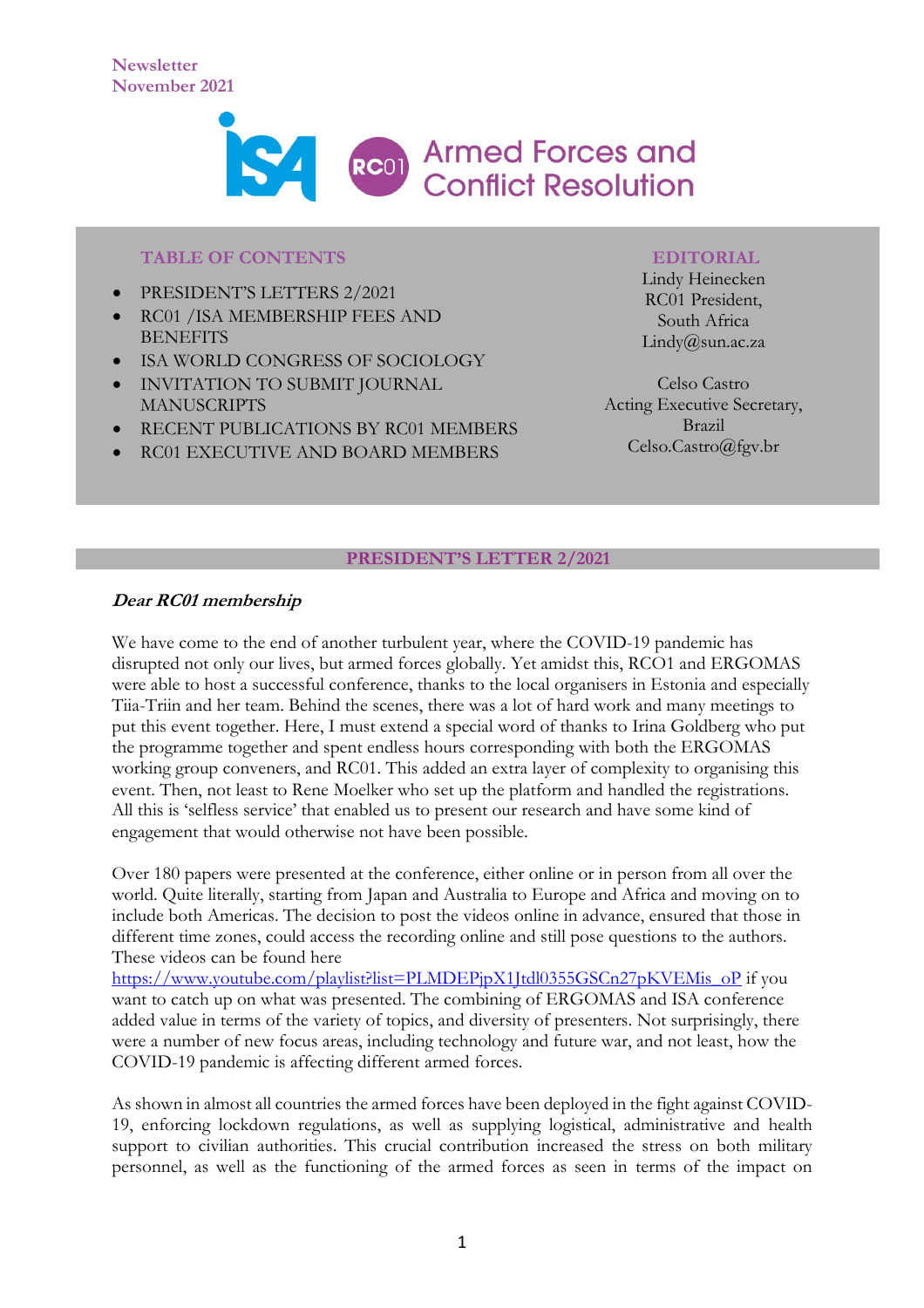

#### **TABLE OF CONTENTS**

- PRESIDENT'S LETTERS 2/2021
- RC01 /ISA MEMBERSHIP FEES AND **BENEFITS**
- ISA WORLD CONGRESS OF SOCIOLOGY
- INVITATION TO SUBMIT JOURNAL MANUSCRIPTS
- RECENT PUBLICATIONS BY RC01 MEMBERS
- RC01 EXECUTIVE AND BOARD MEMBERS

#### **EDITORIAL**

Lindy Heinecken RC01 President, South Africa Lindy@sun.ac.za

Celso Castro Acting Executive Secretary, Brazil Celso.Castro@fgv.br

#### **PRESIDENT'S LETTER 2/2021**

# **Dear RC01 membership**

We have come to the end of another turbulent year, where the COVID-19 pandemic has disrupted not only our lives, but armed forces globally. Yet amidst this, RCO1 and ERGOMAS were able to host a successful conference, thanks to the local organisers in Estonia and especially Tiia-Triin and her team. Behind the scenes, there was a lot of hard work and many meetings to put this event together. Here, I must extend a special word of thanks to Irina Goldberg who put the programme together and spent endless hours corresponding with both the ERGOMAS working group conveners, and RC01. This added an extra layer of complexity to organising this event. Then, not least to Rene Moelker who set up the platform and handled the registrations. All this is 'selfless service' that enabled us to present our research and have some kind of engagement that would otherwise not have been possible.

Over 180 papers were presented at the conference, either online or in person from all over the world. Quite literally, starting from Japan and Australia to Europe and Africa and moving on to include both Americas. The decision to post the videos online in advance, ensured that those in different time zones, could access the recording online and still pose questions to the authors. These videos can be found here

[https://www.youtube.com/playlist?list=PLMDEPjpX1Jtdl0355GSCn27pKVEMis\\_oP](https://www.youtube.com/playlist?list=PLMDEPjpX1Jtdl0355GSCn27pKVEMis_oP) if you want to catch up on what was presented. The combining of ERGOMAS and ISA conference added value in terms of the variety of topics, and diversity of presenters. Not surprisingly, there were a number of new focus areas, including technology and future war, and not least, how the COVID-19 pandemic is affecting different armed forces.

As shown in almost all countries the armed forces have been deployed in the fight against COVID-19, enforcing lockdown regulations, as well as supplying logistical, administrative and health support to civilian authorities. This crucial contribution increased the stress on both military personnel, as well as the functioning of the armed forces as seen in terms of the impact on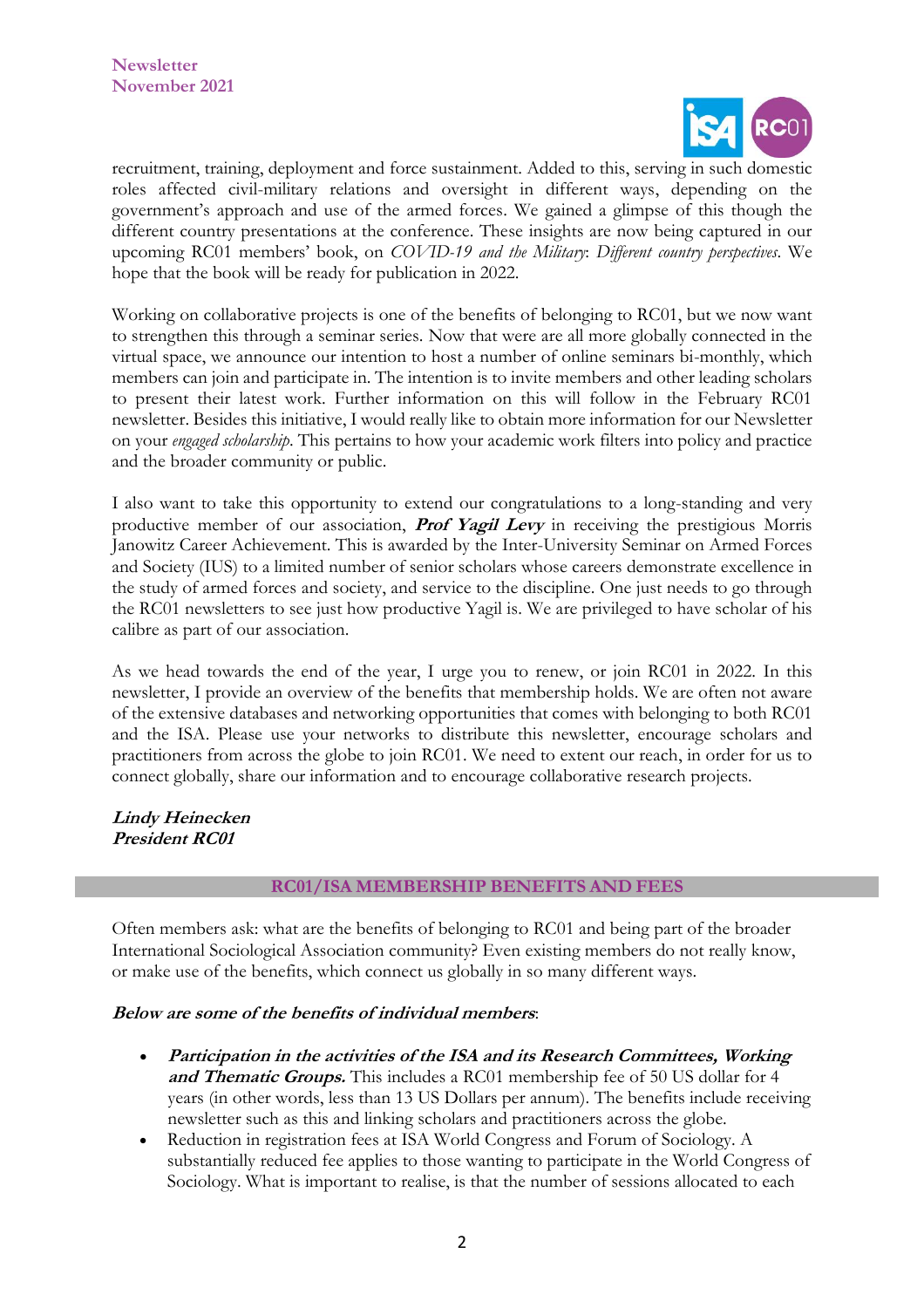

recruitment, training, deployment and force sustainment. Added to this, serving in such domestic roles affected civil-military relations and oversight in different ways, depending on the government's approach and use of the armed forces. We gained a glimpse of this though the different country presentations at the conference. These insights are now being captured in our upcoming RC01 members' book, on *COVID-19 and the Military*: *Different country perspectives*. We hope that the book will be ready for publication in 2022.

Working on collaborative projects is one of the benefits of belonging to RC01, but we now want to strengthen this through a seminar series. Now that were are all more globally connected in the virtual space, we announce our intention to host a number of online seminars bi-monthly, which members can join and participate in. The intention is to invite members and other leading scholars to present their latest work. Further information on this will follow in the February RC01 newsletter. Besides this initiative, I would really like to obtain more information for our Newsletter on your *engaged scholarship*. This pertains to how your academic work filters into policy and practice and the broader community or public.

I also want to take this opportunity to extend our congratulations to a long-standing and very productive member of our association, **Prof Yagil Levy** in receiving the prestigious Morris Janowitz Career Achievement. This is awarded by the Inter-University Seminar on Armed Forces and Society (IUS) to a limited number of senior scholars whose careers demonstrate excellence in the study of armed forces and society, and service to the discipline. One just needs to go through the RC01 newsletters to see just how productive Yagil is. We are privileged to have scholar of his calibre as part of our association.

As we head towards the end of the year, I urge you to renew, or join RC01 in 2022. In this newsletter, I provide an overview of the benefits that membership holds. We are often not aware of the extensive databases and networking opportunities that comes with belonging to both RC01 and the ISA. Please use your networks to distribute this newsletter, encourage scholars and practitioners from across the globe to join RC01. We need to extent our reach, in order for us to connect globally, share our information and to encourage collaborative research projects.

**Lindy Heinecken President RC01**

#### **RC01/ISA MEMBERSHIP BENEFITS AND FEES**

Often members ask: what are the benefits of belonging to RC01 and being part of the broader International Sociological Association community? Even existing members do not really know, or make use of the benefits, which connect us globally in so many different ways.

#### **Below are some of the benefits of individual members**:

- **Participation in the activities of the ISA and its Research Committees, Working and Thematic Groups.** This includes a RC01 membership fee of 50 US dollar for 4 years (in other words, less than 13 US Dollars per annum). The benefits include receiving newsletter such as this and linking scholars and practitioners across the globe.
- Reduction in registration fees at ISA World Congress and Forum of Sociology. A substantially reduced fee applies to those wanting to participate in the World Congress of Sociology. What is important to realise, is that the number of sessions allocated to each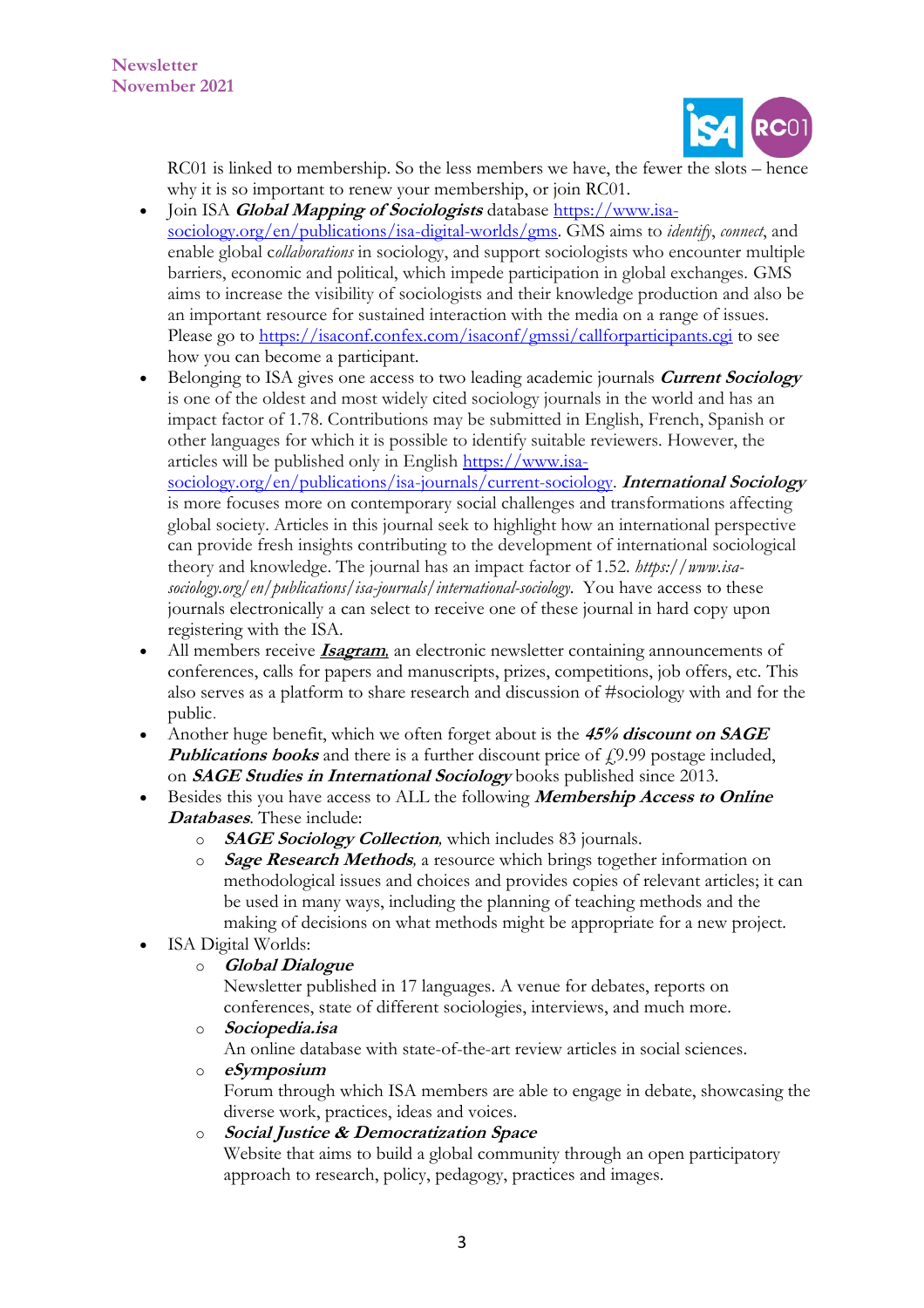

RC01 is linked to membership. So the less members we have, the fewer the slots – hence why it is so important to renew your membership, or join RC01.

- Join ISA *[Global Mapping of Sociologists](https://nam10.safelinks.protection.outlook.com/?url=https%3A%2F%2Fwww.isa-sociology.org%2Fen%2Fpublications%2Fdigital-platforms%2Fgms&data=04%7C01%7CCelso.Castro%40fgv.br%7C2508e8a8e6214077eb5808d98bf87944%7C79f6b639ab1242808077bdbeef869b33%7C0%7C0%7C637694721620946796%7CUnknown%7CTWFpbGZsb3d8eyJWIjoiMC4wLjAwMDAiLCJQIjoiV2luMzIiLCJBTiI6Ik1haWwiLCJXVCI6Mn0%3D%7C1000&sdata=tN0wW7NaoMn6UAfEh8TWx3SFrpidUQuNQJaj77gfjsM%3D&reserved=0)* database [https://www.isa](https://www.isa-sociology.org/en/publications/isa-digital-worlds/gms)[sociology.org/en/publications/isa-digital-worlds/gms.](https://www.isa-sociology.org/en/publications/isa-digital-worlds/gms) GMS aims to *identify*, *connect*, and enable global c*ollaborations* in sociology, and support sociologists who encounter multiple barriers, economic and political, which impede participation in global exchanges. GMS aims to increase the visibility of sociologists and their knowledge production and also be an important resource for sustained interaction with the media on a range of issues. Please go to<https://isaconf.confex.com/isaconf/gmssi/callforparticipants.cgi> to see how you can become a participant.
- Belonging to ISA gives one access to two leading academic journals **[Current Sociology](https://nam10.safelinks.protection.outlook.com/?url=https%3A%2F%2Fwww.isa-sociology.org%2Fen%2Fpublications%2Fisa-journals%2Fcurrent-sociology%2F&data=04%7C01%7CCelso.Castro%40fgv.br%7C2508e8a8e6214077eb5808d98bf87944%7C79f6b639ab1242808077bdbeef869b33%7C0%7C0%7C637694721620946796%7CUnknown%7CTWFpbGZsb3d8eyJWIjoiMC4wLjAwMDAiLCJQIjoiV2luMzIiLCJBTiI6Ik1haWwiLCJXVCI6Mn0%3D%7C1000&sdata=k2AQX5OMWUBl9YziaKK%2BiQ8LhyYH9Em7WrX4LJbFR88%3D&reserved=0)** is one of the oldest and most widely cited sociology journals in the world and has an impact factor of 1.78. Contributions may be submitted in English, French, Spanish or other languages for which it is possible to identify suitable reviewers. However, the articles will be published only in English [https://www.isa](https://www.isa-sociology.org/en/publications/isa-journals/current-sociology)[sociology.org/en/publications/isa-journals/current-sociology.](https://www.isa-sociology.org/en/publications/isa-journals/current-sociology) **International Sociology**  is more focuses more on contemporary social challenges and transformations affecting global society. Articles in this journal seek to highlight how an international perspective

can provide fresh insights contributing to the development of international sociological theory and knowledge. The journal has an impact factor of 1.52. *https://www.isasociology.org/en/publications/isa-journals/international-sociology*.You have access to these journals electronically a can select to receive one of these journal in hard copy upon registering with the ISA.

- All members receive **[Isagram](https://nam10.safelinks.protection.outlook.com/?url=https%3A%2F%2Fwww.isa-sociology.org%2Fen%2Fpublications%2Fisa-digital-publications%2Fisagram-newsletter%2F&data=04%7C01%7CCelso.Castro%40fgv.br%7C2508e8a8e6214077eb5808d98bf87944%7C79f6b639ab1242808077bdbeef869b33%7C0%7C0%7C637694721620966787%7CUnknown%7CTWFpbGZsb3d8eyJWIjoiMC4wLjAwMDAiLCJQIjoiV2luMzIiLCJBTiI6Ik1haWwiLCJXVCI6Mn0%3D%7C1000&sdata=25UM4kFMHFuZc0EkfPmNZ9mfToTCDDF2znXG0%2FAAA44%3D&reserved=0)**, an electronic newsletter containing announcements of conferences, calls for papers and manuscripts, prizes, competitions, job offers, etc. This also serves as a platform to share research and discussion of #sociology with and for the public.
- Another huge benefit, which we often forget about is the **45% discount on SAGE Publications books** and there is a further discount price of £9.99 postage included, on **[SAGE Studies in International Sociology](https://nam10.safelinks.protection.outlook.com/?url=https%3A%2F%2Fwww.isa-sociology.org%2Fen%2Fpublications%2Fisa-books-collection%2Fsage-studies-in-international-sociology%2F&data=04%7C01%7CCelso.Castro%40fgv.br%7C2508e8a8e6214077eb5808d98bf87944%7C79f6b639ab1242808077bdbeef869b33%7C0%7C0%7C637694721620966787%7CUnknown%7CTWFpbGZsb3d8eyJWIjoiMC4wLjAwMDAiLCJQIjoiV2luMzIiLCJBTiI6Ik1haWwiLCJXVCI6Mn0%3D%7C1000&sdata=o9xBlec2FT%2Bw%2FnO4W15k5aQtA0sBtJhR1fRCVVpmdZY%3D&reserved=0)** books published since 2013.
- Besides this you have access to ALL the following **Membership Access to Online Databases**. These include:
	- o **[SAGE Sociology Collection](https://nam10.safelinks.protection.outlook.com/?url=http%3A%2F%2Fwww.isa-sociology.org%2Fen%2Fpublications%2Fdigital-platforms%2Fsage-sociology-full-text-collection%2F&data=04%7C01%7CCelso.Castro%40fgv.br%7C2508e8a8e6214077eb5808d98bf87944%7C79f6b639ab1242808077bdbeef869b33%7C0%7C0%7C637694721620976781%7CUnknown%7CTWFpbGZsb3d8eyJWIjoiMC4wLjAwMDAiLCJQIjoiV2luMzIiLCJBTiI6Ik1haWwiLCJXVCI6Mn0%3D%7C1000&sdata=cwjLBA4D8q7c%2Fh9ICfbqsY6SrXwMYzi17GirgtqHNE0%3D&reserved=0)***,* which includes 83 journals.
	- o **[Sage Research Methods](https://nam10.safelinks.protection.outlook.com/?url=http%3A%2F%2Fwww.isa-sociology.org%2Fen%2Fpublications%2Fdigital-platforms%2Fsage-research-methods%2F&data=04%7C01%7CCelso.Castro%40fgv.br%7C2508e8a8e6214077eb5808d98bf87944%7C79f6b639ab1242808077bdbeef869b33%7C0%7C0%7C637694721620986778%7CUnknown%7CTWFpbGZsb3d8eyJWIjoiMC4wLjAwMDAiLCJQIjoiV2luMzIiLCJBTiI6Ik1haWwiLCJXVCI6Mn0%3D%7C1000&sdata=zE9WxyqODWbrN9jDwYG8yxY%2FIpnf5ZnvosX3ncuEens%3D&reserved=0)***,* a resource which brings together information on methodological issues and choices and provides copies of relevant articles; it can be used in many ways, including the planning of teaching methods and the making of decisions on what methods might be appropriate for a new project.
- ISA Digital Worlds:
	- o **[Global Dialogue](https://nam10.safelinks.protection.outlook.com/?url=http%3A%2F%2Fglobaldialogue.isa-sociology.org%2F&data=04%7C01%7CCelso.Castro%40fgv.br%7C2508e8a8e6214077eb5808d98bf87944%7C79f6b639ab1242808077bdbeef869b33%7C0%7C0%7C637694721620986778%7CUnknown%7CTWFpbGZsb3d8eyJWIjoiMC4wLjAwMDAiLCJQIjoiV2luMzIiLCJBTiI6Ik1haWwiLCJXVCI6Mn0%3D%7C1000&sdata=VVMHHAT7CqZHh8%2FQ6WARon9F4MQNWUnn9r2i533Xyao%3D&reserved=0)**

Newsletter published in 17 languages. A venue for debates, reports on conferences, state of different sociologies, interviews, and much more.

o **[Sociopedia.isa](https://nam10.safelinks.protection.outlook.com/?url=https%3A%2F%2Fwww.isa-sociology.org%2Fen%2Fpublications%2Fisa-digital-publications%2Fsociopediaisa%2F&data=04%7C01%7CCelso.Castro%40fgv.br%7C2508e8a8e6214077eb5808d98bf87944%7C79f6b639ab1242808077bdbeef869b33%7C0%7C0%7C637694721620996773%7CUnknown%7CTWFpbGZsb3d8eyJWIjoiMC4wLjAwMDAiLCJQIjoiV2luMzIiLCJBTiI6Ik1haWwiLCJXVCI6Mn0%3D%7C1000&sdata=AjqEfXDe3Z1gU67fVJynNPsJmlOARUWGrhK4a8iIt%2B4%3D&reserved=0)**

An online database with state-of-the-art review articles in social sciences.

o **[eSymposium](https://nam10.safelinks.protection.outlook.com/?url=https%3A%2F%2Fwww.isa-sociology.org%2Fen%2Fpublications%2Fisa-digital-publications%2Fesymposium%2F&data=04%7C01%7CCelso.Castro%40fgv.br%7C2508e8a8e6214077eb5808d98bf87944%7C79f6b639ab1242808077bdbeef869b33%7C0%7C0%7C637694721621006771%7CUnknown%7CTWFpbGZsb3d8eyJWIjoiMC4wLjAwMDAiLCJQIjoiV2luMzIiLCJBTiI6Ik1haWwiLCJXVCI6Mn0%3D%7C1000&sdata=kTcQZHZ%2BEwzCHXVIv%2Fz%2BBTDtoQzN95fBqrAsnBdf3hM%3D&reserved=0)**

Forum through which ISA members are able to engage in debate, showcasing the diverse work, practices, ideas and voices.

o **Social Justice [& Democratization Space](https://nam10.safelinks.protection.outlook.com/?url=https%3A%2F%2Fwww.isa-sociology.org%2Fen%2Fpublications%2Fdigital-platforms%2Fsocial-justice-democratization-space%2F&data=04%7C01%7CCelso.Castro%40fgv.br%7C2508e8a8e6214077eb5808d98bf87944%7C79f6b639ab1242808077bdbeef869b33%7C0%7C0%7C637694721621016767%7CUnknown%7CTWFpbGZsb3d8eyJWIjoiMC4wLjAwMDAiLCJQIjoiV2luMzIiLCJBTiI6Ik1haWwiLCJXVCI6Mn0%3D%7C1000&sdata=n%2F%2BWmKqyZ63sGEw%2BuaEFlAklI9g6%2FufKk%2FonhWKcj6Q%3D&reserved=0)**

Website that aims to build a global community through an open participatory approach to research, policy, pedagogy, practices and images.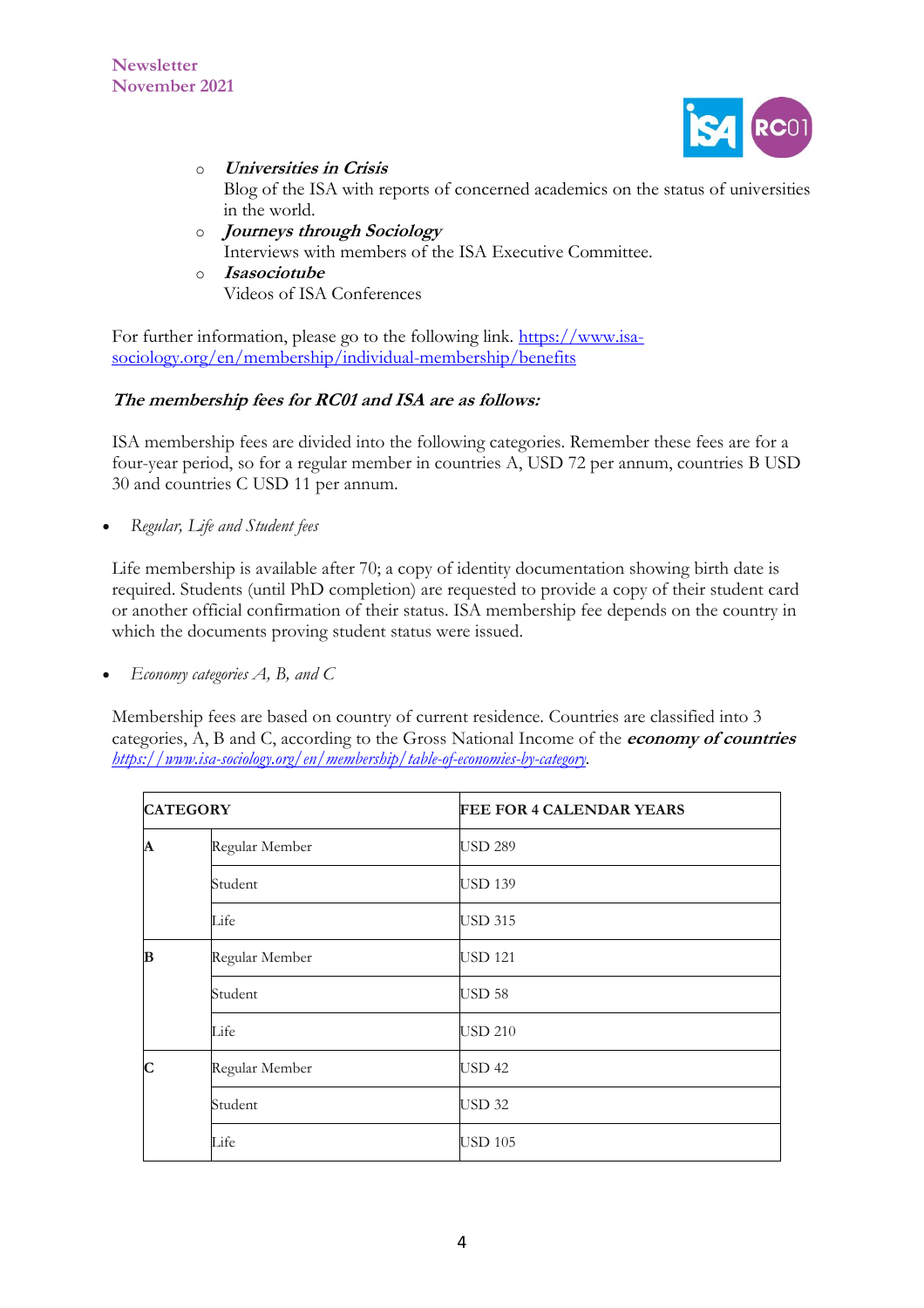

- o **[Universities in Crisis](https://nam10.safelinks.protection.outlook.com/?url=http%3A%2F%2Fwww.isa-sociology.org%2Funiversities-in-crisis%2F&data=04%7C01%7CCelso.Castro%40fgv.br%7C2508e8a8e6214077eb5808d98bf87944%7C79f6b639ab1242808077bdbeef869b33%7C0%7C0%7C637694721621016767%7CUnknown%7CTWFpbGZsb3d8eyJWIjoiMC4wLjAwMDAiLCJQIjoiV2luMzIiLCJBTiI6Ik1haWwiLCJXVCI6Mn0%3D%7C1000&sdata=6nguIaYJGK8X0ZJIDQt1eiCmTcUalFHl3oQuI2MCDYs%3D&reserved=0)** Blog of the ISA with reports of concerned academics on the status of universities in the world.
- o **[Journeys through Sociology](https://nam10.safelinks.protection.outlook.com/?url=https%3A%2F%2Fwww.isa-sociology.org%2Fen%2Fpublications%2Fvideos%2Fjourneys-through-sociology%2F&data=04%7C01%7CCelso.Castro%40fgv.br%7C2508e8a8e6214077eb5808d98bf87944%7C79f6b639ab1242808077bdbeef869b33%7C0%7C0%7C637694721621026759%7CUnknown%7CTWFpbGZsb3d8eyJWIjoiMC4wLjAwMDAiLCJQIjoiV2luMzIiLCJBTiI6Ik1haWwiLCJXVCI6Mn0%3D%7C1000&sdata=kF40jc%2FMlTjUenmkqU6x7tTKyq61W7DYHB5T3J3IAxc%3D&reserved=0)** Interviews with members of the ISA Executive Committee.
- o **[Isasociotube](https://nam10.safelinks.protection.outlook.com/?url=https%3A%2F%2Fwww.youtube.com%2Fuser%2Fisasociotube%2Fvideos&data=04%7C01%7CCelso.Castro%40fgv.br%7C2508e8a8e6214077eb5808d98bf87944%7C79f6b639ab1242808077bdbeef869b33%7C0%7C0%7C637694721621036757%7CUnknown%7CTWFpbGZsb3d8eyJWIjoiMC4wLjAwMDAiLCJQIjoiV2luMzIiLCJBTiI6Ik1haWwiLCJXVCI6Mn0%3D%7C1000&sdata=hCYyx3OmNBiQoKeo5R%2Fa1PNQtobRXROud5wF9qPG1I0%3D&reserved=0)** Videos of ISA Conferences

For further information, please go to the following link. [https://www.isa](https://www.isa-sociology.org/en/membership/individual-membership/benefits)[sociology.org/en/membership/individual-membership/benefits](https://www.isa-sociology.org/en/membership/individual-membership/benefits)

# **The membership fees for RC01 and ISA are as follows:**

ISA membership fees are divided into the following categories. Remember these fees are for a four-year period, so for a regular member in countries A, USD 72 per annum, countries B USD 30 and countries C USD 11 per annum.

• *Regular, Life and Student fees*

Life membership is available after 70; a copy of identity documentation showing birth date is required. Students (until PhD completion) are requested to provide a copy of their student card or another official confirmation of their status. ISA membership fee depends on the country in which the documents proving student status were issued.

• *Economy categories A, B, and C*

Membership fees are based on country of current residence. Countries are classified into 3 categories, A, B and C, according to the Gross National Income of the **[economy of countries](https://www.isa-sociology.org/en/membership/table-of-economies-by-category)** *[https://www.isa-sociology.org/en/membership/table-of-economies-by-category.](https://www.isa-sociology.org/en/membership/table-of-economies-by-category)*

| <b>CATEGORY</b>  |                | <b>FEE FOR 4 CALENDAR YEARS</b> |
|------------------|----------------|---------------------------------|
| $\boldsymbol{A}$ | Regular Member | <b>USD 289</b>                  |
|                  | Student        | <b>USD 139</b>                  |
|                  | Life           | <b>USD 315</b>                  |
| B                | Regular Member | <b>USD 121</b>                  |
|                  | Student        | <b>USD 58</b>                   |
|                  | Life           | <b>USD 210</b>                  |
| $\mathbf C$      | Regular Member | <b>USD 42</b>                   |
|                  | Student        | <b>USD 32</b>                   |
|                  | Life           | <b>USD 105</b>                  |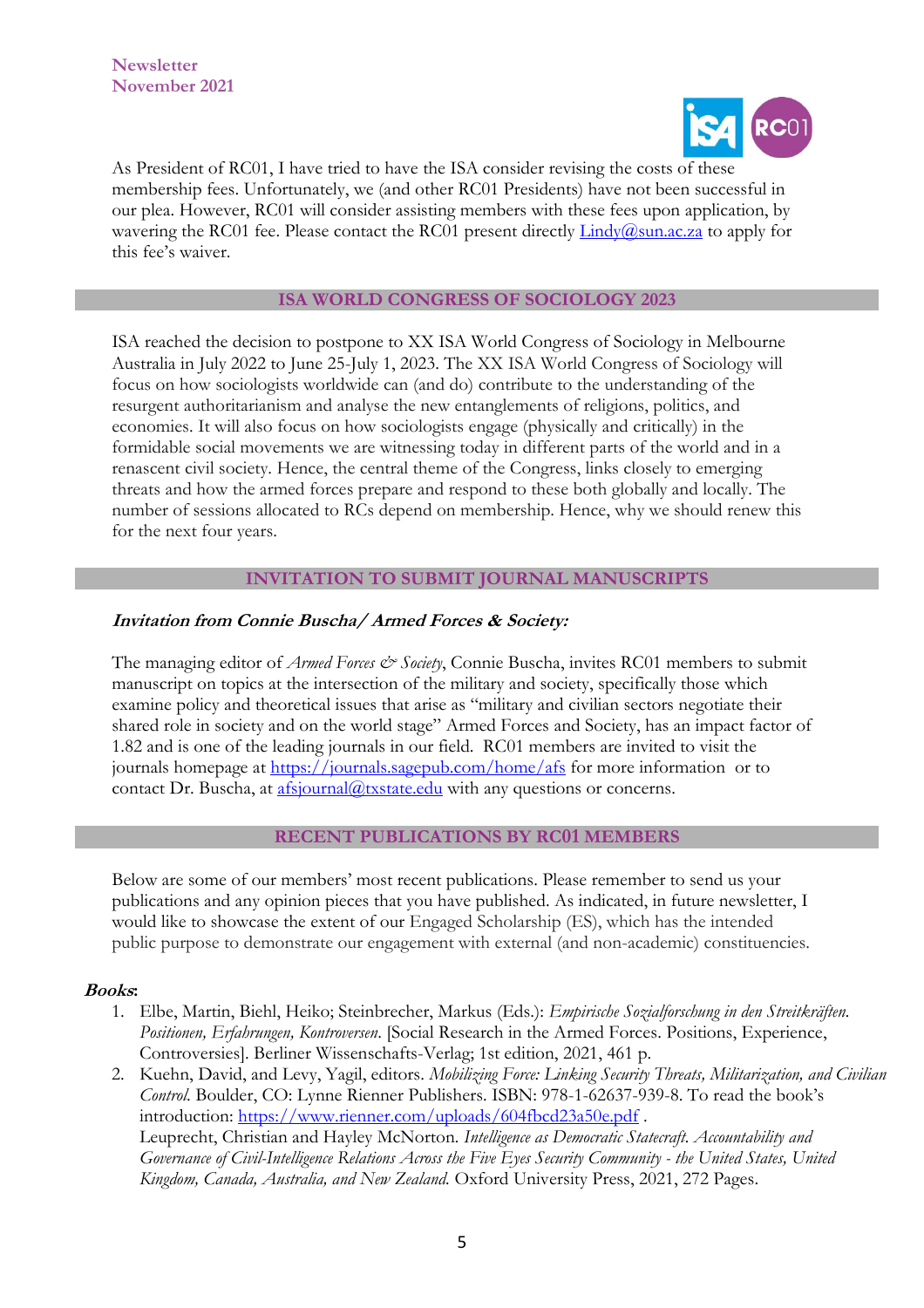

As President of RC01, I have tried to have the ISA consider revising the costs of these membership fees. Unfortunately, we (and other RC01 Presidents) have not been successful in our plea. However, RC01 will consider assisting members with these fees upon application, by wavering the RC01 fee. Please contact the RC01 present directly  $\text{Lindy}(\hat{a})$ sun.ac.za to apply for this fee's waiver.

#### **ISA WORLD CONGRESS OF SOCIOLOGY 2023**

ISA reached the decision to postpone to XX ISA World Congress of Sociology in Melbourne Australia in July 2022 to June 25-July 1, 2023. The XX ISA World Congress of Sociology will focus on how sociologists worldwide can (and do) contribute to the understanding of the resurgent authoritarianism and analyse the new entanglements of religions, politics, and economies. It will also focus on how sociologists engage (physically and critically) in the formidable social movements we are witnessing today in different parts of the world and in a renascent civil society. Hence, the central theme of the Congress, links closely to emerging threats and how the armed forces prepare and respond to these both globally and locally. The number of sessions allocated to RCs depend on membership. Hence, why we should renew this for the next four years.

### **INVITATION TO SUBMIT JOURNAL MANUSCRIPTS**

### **Invitation from Connie Buscha/ Armed Forces & Society:**

The managing editor of *Armed Forces & Society*, Connie Buscha, invites RC01 members to submit manuscript on topics at the intersection of the military and society, specifically those which examine policy and theoretical issues that arise as "military and civilian sectors negotiate their shared role in society and on the world stage" Armed Forces and Society, has an impact factor of 1.82 and is one of the leading journals in our field. RC01 members are invited to visit the journals homepage at [https://journals.sagepub.com/home/afs](https://nam10.safelinks.protection.outlook.com/?url=https%3A%2F%2Fjournals.sagepub.com%2Fhome%2Fafs&data=04%7C01%7CCelso.Castro%40fgv.br%7Cbe13a3a3a79947261c5d08d984f5ee60%7C79f6b639ab1242808077bdbeef869b33%7C0%7C0%7C637687014091974058%7CUnknown%7CTWFpbGZsb3d8eyJWIjoiMC4wLjAwMDAiLCJQIjoiV2luMzIiLCJBTiI6Ik1haWwiLCJXVCI6Mn0%3D%7C1000&sdata=yeENt%2FFGBQ3qZCsw7uGciPTR5%2B9CEfE6TBZhAKcmgC4%3D&reserved=0) for more information or to contact Dr. Buscha, at [afsjournal@txstate.edu](mailto:afsjournal@txstate.edu) with any questions or concerns.

#### **RECENT PUBLICATIONS BY RC01 MEMBERS**

Below are some of our members' most recent publications. Please remember to send us your publications and any opinion pieces that you have published. As indicated, in future newsletter, I would like to showcase the extent of our Engaged Scholarship (ES), which has the intended public purpose to demonstrate our engagement with external (and non-academic) constituencies.

#### **Books:**

- 1. Elbe, Martin, Biehl, Heiko; Steinbrecher, Markus (Eds.): *Empirische Sozialforschung in den Streitkräften. Positionen, Erfahrungen, Kontroversen*. [Social Research in the Armed Forces. Positions, Experience, Controversies]. Berliner Wissenschafts-Verlag; 1st edition, 2021, 461 p.
- 2. Kuehn, David, and Levy, Yagil, editors. *Mobilizing Force: Linking Security Threats, Militarization, and Civilian Control*. Boulder, CO: Lynne Rienner Publishers. ISBN: 978-1-62637-939-8. To read the book's introduction:<https://www.rienner.com/uploads/604fbcd23a50e.pdf> . Leuprecht, Christian and Hayley McNorton*. Intelligence as Democratic Statecraft. Accountability and Governance of Civil-Intelligence Relations Across the Five Eyes Security Community - the United States, United Kingdom, Canada, Australia, and New Zealand.* Oxford University Press, 2021, 272 Pages.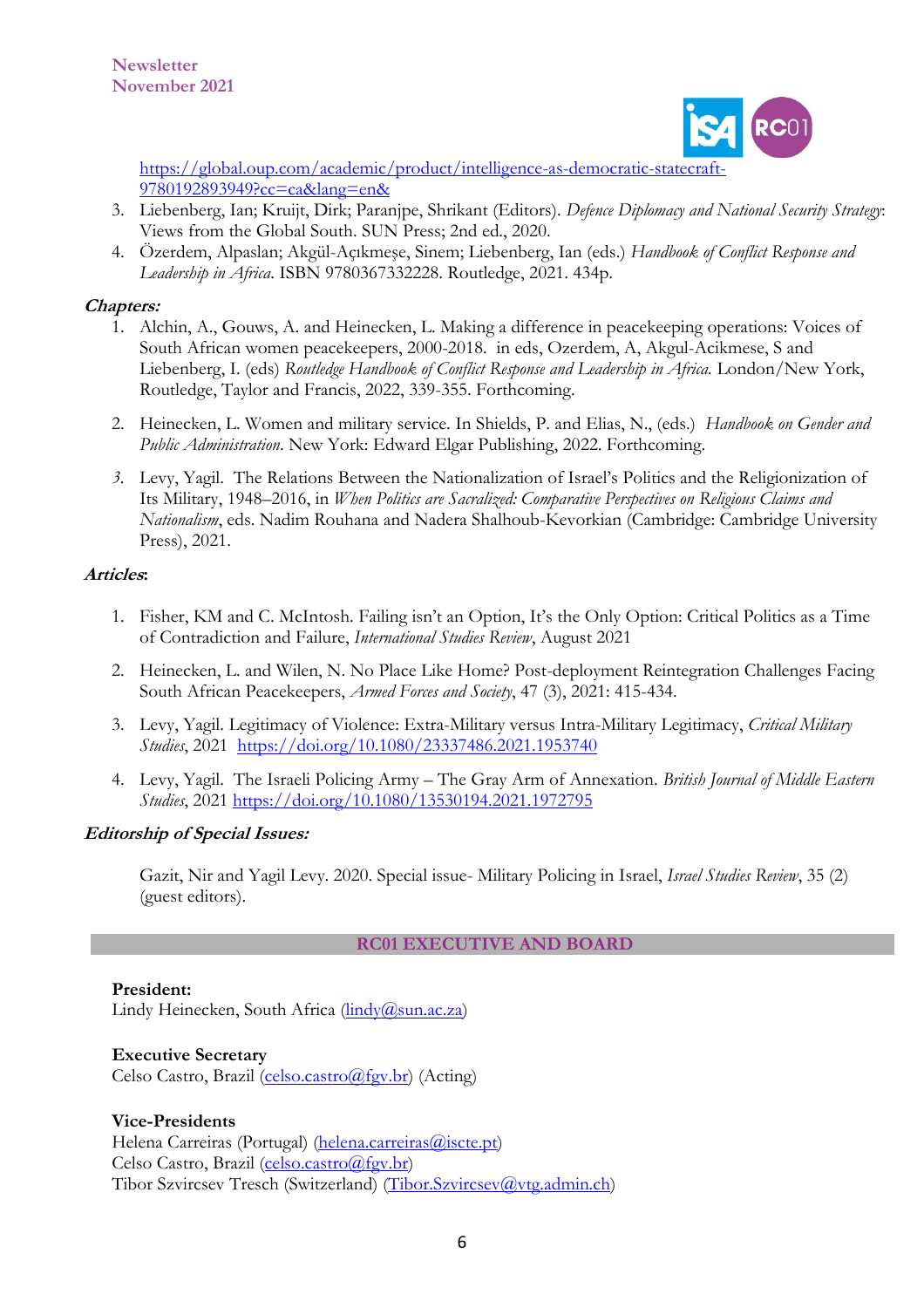

[https://global.oup.com/academic/product/intelligence-as-democratic-statecraft-](https://nam10.safelinks.protection.outlook.com/?url=https%3A%2F%2Fglobal.oup.com%2Facademic%2Fproduct%2Fintelligence-as-democratic-statecraft-9780192893949%3Fcc%3Dca%26lang%3Den%26&data=04%7C01%7CCelso.Castro%40fgv.br%7Cc7c4467470ac4a321aea08d987d20aec%7C79f6b639ab1242808077bdbeef869b33%7C0%7C0%7C637690158475761828%7CUnknown%7CTWFpbGZsb3d8eyJWIjoiMC4wLjAwMDAiLCJQIjoiV2luMzIiLCJBTiI6Ik1haWwiLCJXVCI6Mn0%3D%7C1000&sdata=YX%2FnUMZlUadF8tgbyOwMJGhx5q0Jcyv79OPEDSrCKgM%3D&reserved=0)[9780192893949?cc=ca&lang=en&](https://nam10.safelinks.protection.outlook.com/?url=https%3A%2F%2Fglobal.oup.com%2Facademic%2Fproduct%2Fintelligence-as-democratic-statecraft-9780192893949%3Fcc%3Dca%26lang%3Den%26&data=04%7C01%7CCelso.Castro%40fgv.br%7Cc7c4467470ac4a321aea08d987d20aec%7C79f6b639ab1242808077bdbeef869b33%7C0%7C0%7C637690158475761828%7CUnknown%7CTWFpbGZsb3d8eyJWIjoiMC4wLjAwMDAiLCJQIjoiV2luMzIiLCJBTiI6Ik1haWwiLCJXVCI6Mn0%3D%7C1000&sdata=YX%2FnUMZlUadF8tgbyOwMJGhx5q0Jcyv79OPEDSrCKgM%3D&reserved=0)

- 3. Liebenberg, Ian; Kruijt, Dirk; Paranjpe, Shrikant (Editors). *Defence Diplomacy and National Security Strategy*: Views from the Global South. SUN Press; 2nd ed., 2020.
- 4. Özerdem, Alpaslan; Akgül-Açıkmeşe, Sinem; Liebenberg, Ian (eds.) *Handbook of Conflict Response and Leadership in Africa*. ISBN 9780367332228. Routledge, 2021. 434p.

# **Chapters:**

- 1. Alchin, A., Gouws, A. and Heinecken, L. Making a difference in peacekeeping operations: Voices of South African women peacekeepers, 2000-2018. in eds, Ozerdem, A, Akgul-Acikmese, S and Liebenberg, I. (eds) *Routledge Handbook of Conflict Response and Leadership in Africa.* London/New York, Routledge, Taylor and Francis, 2022, 339-355. Forthcoming.
- 2. Heinecken, L. Women and military service. In Shields, P. and Elias, N., (eds.) *Handbook on Gender and Public Administration*. New York: Edward Elgar Publishing, 2022. Forthcoming.
- *3.* Levy, Yagil. The Relations Between the Nationalization of Israel's Politics and the Religionization of Its Military, 1948–2016, in *When Politics are Sacralized: Comparative Perspectives on Religious Claims and Nationalism*, eds. Nadim Rouhana and Nadera Shalhoub-Kevorkian (Cambridge: Cambridge University Press), 2021.

### **Articles:**

- 1. Fisher, KM and C. McIntosh. Failing isn't an Option, It's the Only Option: Critical Politics as a Time of Contradiction and Failure, *International Studies Review*, August 2021
- 2. Heinecken, L. and Wilen, N. No Place Like Home? Post-deployment Reintegration Challenges Facing South African Peacekeepers, *Armed Forces and Society*, 47 (3), 2021: 415-434.
- 3. Levy, Yagil. Legitimacy of Violence: Extra-Military versus Intra-Military Legitimacy, *Critical Military Studies*, 2021 <https://doi.org/10.1080/23337486.2021.1953740>
- 4. Levy, Yagil. The Israeli Policing Army The Gray Arm of Annexation. *British Journal of Middle Eastern Studies*, 2021 <https://doi.org/10.1080/13530194.2021.1972795>

# **Editorship of Special Issues:**

Gazit, Nir and Yagil Levy. 2020. Special issue- Military Policing in Israel, *Israel Studies Review*, 35 (2) (guest editors).

# **RC01 EXECUTIVE AND BOARD**

# **President:**

Lindy Heinecken, South Africa (*lindy@sun.ac.za*)

#### **Executive Secretary**

Celso Castro, Brazil [\(celso.castro@fgv.br\)](mailto:celso.castro@fgv.br) (Acting)

# **Vice-Presidents**

Helena Carreiras (Portugal) (helena.carreiras (a) iscte.pt) Celso Castro, Brazil [\(celso.castro@fgv.br\)](mailto:celso.castro@fgv.br) Tibor Szvircsev Tresch (Switzerland) [\(Tibor.Szvircsev@vtg.admin.ch\)](mailto:Tibor.Szvircsev@vtg.admin.ch)